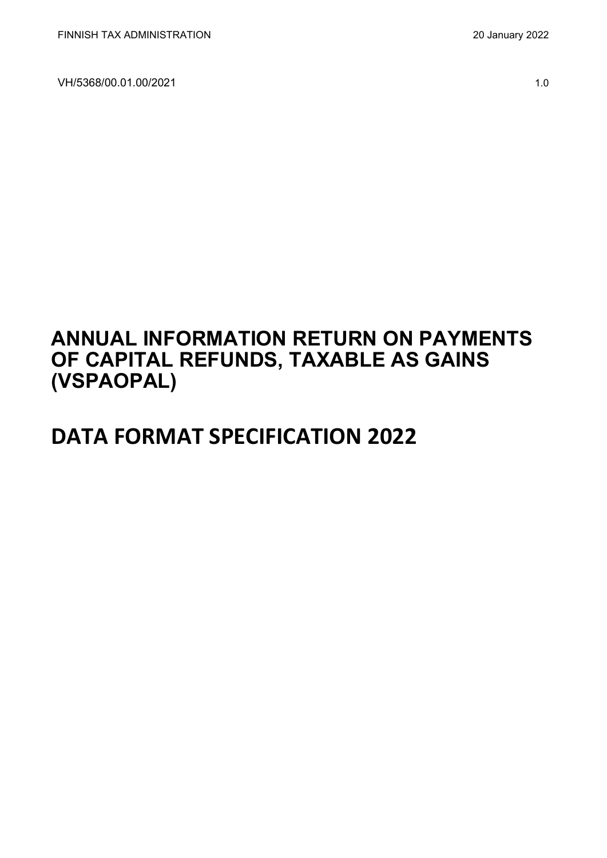## **ANNUAL INFORMATION RETURN ON PAYMENTS OF CAPITAL REFUNDS, TAXABLE AS GAINS (VSPAOPAL)**

# **DATA FORMAT SPECIFICATION 2022**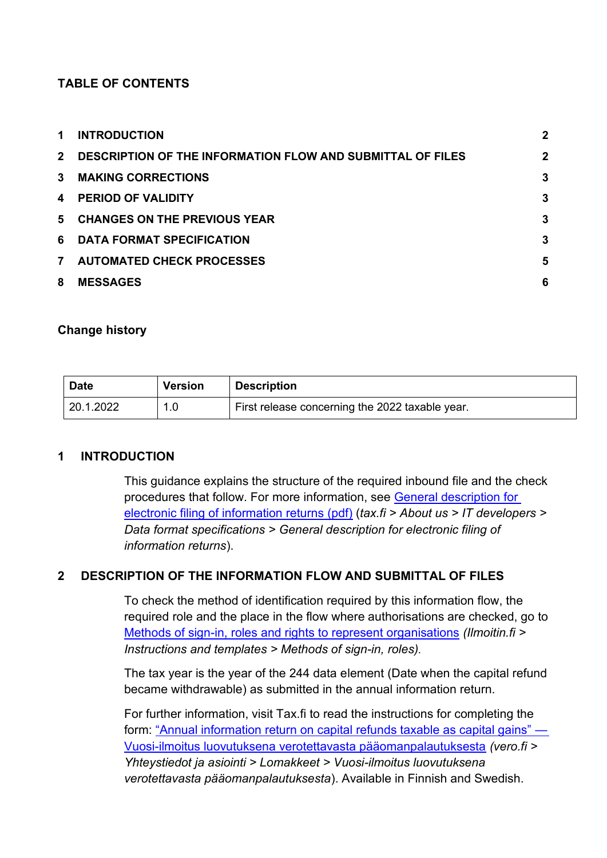#### **TABLE OF CONTENTS**

| $\mathbf 1$  | <b>INTRODUCTION</b>                                          | $\mathbf 2$ |
|--------------|--------------------------------------------------------------|-------------|
|              | 2 DESCRIPTION OF THE INFORMATION FLOW AND SUBMITTAL OF FILES | $\mathbf 2$ |
| $\mathbf{3}$ | <b>MAKING CORRECTIONS</b>                                    | 3           |
| 4            | <b>PERIOD OF VALIDITY</b>                                    | 3           |
| 5            | <b>CHANGES ON THE PREVIOUS YEAR</b>                          | 3           |
|              | 6 DATA FORMAT SPECIFICATION                                  | 3           |
| $\mathbf{7}$ | <b>AUTOMATED CHECK PROCESSES</b>                             | 5           |
| 8            | <b>MESSAGES</b>                                              | 6           |

#### **Change history**

| <b>Date</b> | <b>Version</b> | <b>Description</b>                              |
|-------------|----------------|-------------------------------------------------|
| 20.1.2022   |                | First release concerning the 2022 taxable year. |

#### <span id="page-1-0"></span>**1 INTRODUCTION**

This guidance explains the structure of the required inbound file and the check procedures that follow. For more information, see [General description for](https://www.vero.fi/globalassets/tietoa-verohallinnosta/ohjelmistokehittajille/finnish-tax-administration_electronic-filing-of-information-returns-general-description.pdf)  [electronic filing of information returns \(pdf\)](https://www.vero.fi/globalassets/tietoa-verohallinnosta/ohjelmistokehittajille/finnish-tax-administration_electronic-filing-of-information-returns-general-description.pdf) (*tax.fi > About us > IT developers > Data format specifications > General description for electronic filing of information returns*).

#### <span id="page-1-1"></span>**2 DESCRIPTION OF THE INFORMATION FLOW AND SUBMITTAL OF FILES**

To check the method of identification required by this information flow, the required role and the place in the flow where authorisations are checked, go to [Methods of sign-in, roles and rights to represent organisations](https://www.ilmoitin.fi/webtamo/sivut/IlmoituslajiRoolit?kieli=en&tv=VSPAOPAL) *[\(Ilmoitin.fi >](https://www.ilmoitin.fi/webtamo/sivut/IlmoituslajiRoolit?tv=VSY02C)  [Instructions and templates > Methods of sign-in, roles\)](https://www.ilmoitin.fi/webtamo/sivut/IlmoituslajiRoolit?tv=VSY02C).*

The tax year is the year of the 244 data element (Date when the capital refund became withdrawable) as submitted in the annual information return.

For further information, visit Tax.fi to read the instructions for completing the form: ["Annual information return on capital refunds taxable as capital gains" —](https://www.vero.fi/tietoa-verohallinnosta/yhteystiedot-ja-asiointi/lomakkeet/kuvaus/vuosi-ilmoitus-luovutuksena-verotettavasta-paaomanpalautuksesta/) [Vuosi-ilmoitus luovutuksena verotettavasta pääomanpalautuksesta](https://www.vero.fi/tietoa-verohallinnosta/yhteystiedot-ja-asiointi/lomakkeet/kuvaus/vuosi-ilmoitus-luovutuksena-verotettavasta-paaomanpalautuksesta/) *(vero.fi > Yhteystiedot ja asiointi > Lomakkeet > Vuosi-ilmoitus luovutuksena verotettavasta pääomanpalautuksesta*). Available in Finnish and Swedish.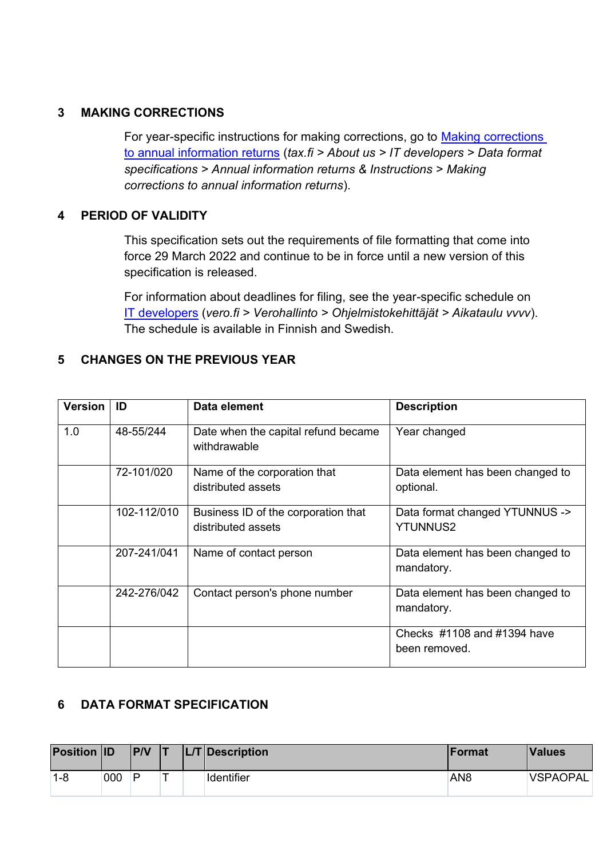#### <span id="page-2-0"></span>**3 MAKING CORRECTIONS**

For year-specific instructions for making corrections, go to [Making corrections](https://www.vero.fi/en/About-us/it_developer/data-format-specifications/annual_information_returns__instruction/making-corrections-to-annual-information-returns/)  [to annual information returns](https://www.vero.fi/en/About-us/it_developer/data-format-specifications/annual_information_returns__instruction/making-corrections-to-annual-information-returns/) (*tax.fi > About us > IT developers > Data format specifications > Annual information returns & Instructions > Making corrections to annual information returns*).

#### <span id="page-2-1"></span>**4 PERIOD OF VALIDITY**

This specification sets out the requirements of file formatting that come into force 29 March 2022 and continue to be in force until a new version of this specification is released.

For information about deadlines for filing, see the year-specific schedule on [IT developers](https://www.vero.fi/tietoa-verohallinnosta/kehittaja/) (*vero.fi > Verohallinto > Ohjelmistokehittäjät > Aikataulu vvvv*). The schedule is available in Finnish and Swedish.

#### <span id="page-2-2"></span>**5 CHANGES ON THE PREVIOUS YEAR**

| <b>Version</b> | ID          | Data element                                              | <b>Description</b>                                |
|----------------|-------------|-----------------------------------------------------------|---------------------------------------------------|
| 1.0            | 48-55/244   | Date when the capital refund became<br>withdrawable       | Year changed                                      |
|                | 72-101/020  | Name of the corporation that<br>distributed assets        | Data element has been changed to<br>optional.     |
|                | 102-112/010 | Business ID of the corporation that<br>distributed assets | Data format changed YTUNNUS -><br><b>YTUNNUS2</b> |
|                | 207-241/041 | Name of contact person                                    | Data element has been changed to<br>mandatory.    |
|                | 242-276/042 | Contact person's phone number                             | Data element has been changed to<br>mandatory.    |
|                |             |                                                           | Checks #1108 and #1394 have<br>been removed.      |

### <span id="page-2-3"></span>**6 DATA FORMAT SPECIFICATION**

| <b>Position ID</b> |     | P/V |  | $ L/T $ Description | <b>IFormat</b>  | <b>Values</b>   |
|--------------------|-----|-----|--|---------------------|-----------------|-----------------|
| $1 - 8$            | 000 | P   |  | Identifier          | AN <sub>8</sub> | <b>VSPAOPAL</b> |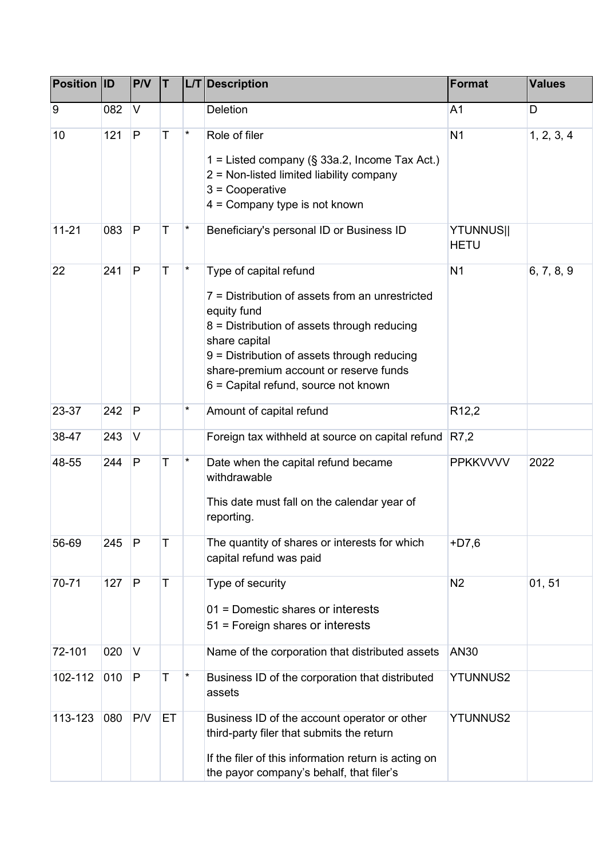| <b>Position ID</b> |     | PVV          | T  |         | <b>L/T</b> Description                                                                                                                                                                                                                                                                    | <b>Format</b>                   | <b>Values</b> |
|--------------------|-----|--------------|----|---------|-------------------------------------------------------------------------------------------------------------------------------------------------------------------------------------------------------------------------------------------------------------------------------------------|---------------------------------|---------------|
| 9                  | 082 | V            |    |         | <b>Deletion</b>                                                                                                                                                                                                                                                                           | A <sub>1</sub>                  | D             |
| 10                 | 121 | P            | T  | $\star$ | Role of filer<br>1 = Listed company ( $\S$ 33a.2, Income Tax Act.)<br>2 = Non-listed limited liability company<br>$3 =$ Cooperative<br>$4 =$ Company type is not known                                                                                                                    | N <sub>1</sub>                  | 1, 2, 3, 4    |
| $11 - 21$          | 083 | P            | Τ  | *       | Beneficiary's personal ID or Business ID                                                                                                                                                                                                                                                  | <b>YTUNNUS  </b><br><b>HETU</b> |               |
| 22                 | 241 | $\mathsf{P}$ | T  | *       | Type of capital refund<br>7 = Distribution of assets from an unrestricted<br>equity fund<br>8 = Distribution of assets through reducing<br>share capital<br>9 = Distribution of assets through reducing<br>share-premium account or reserve funds<br>6 = Capital refund, source not known | N <sub>1</sub>                  | 6, 7, 8, 9    |
| 23-37              | 242 | P            |    | *       | Amount of capital refund                                                                                                                                                                                                                                                                  | R <sub>12</sub> ,2              |               |
| 38-47              | 243 | V            |    |         | Foreign tax withheld at source on capital refund                                                                                                                                                                                                                                          | R7,2                            |               |
| 48-55              | 244 | P            | Τ  | *       | Date when the capital refund became<br>withdrawable<br>This date must fall on the calendar year of<br>reporting.                                                                                                                                                                          | <b>PPKKVVVV</b>                 | 2022          |
| 56-69              | 245 | P            | Τ  |         | The quantity of shares or interests for which<br>capital refund was paid                                                                                                                                                                                                                  | $+D7,6$                         |               |
| 70-71              | 127 | P            | T  |         | Type of security<br>01 = Domestic shares or interests<br>51 = Foreign shares or interests                                                                                                                                                                                                 | N <sub>2</sub>                  | 01, 51        |
| 72-101             | 020 | V            |    |         | Name of the corporation that distributed assets                                                                                                                                                                                                                                           | <b>AN30</b>                     |               |
| 102-112            | 010 | P            | T  | *       | Business ID of the corporation that distributed<br>assets                                                                                                                                                                                                                                 | <b>YTUNNUS2</b>                 |               |
| 113-123            | 080 | P/V          | ET |         | Business ID of the account operator or other<br>third-party filer that submits the return<br>If the filer of this information return is acting on<br>the payor company's behalf, that filer's                                                                                             | <b>YTUNNUS2</b>                 |               |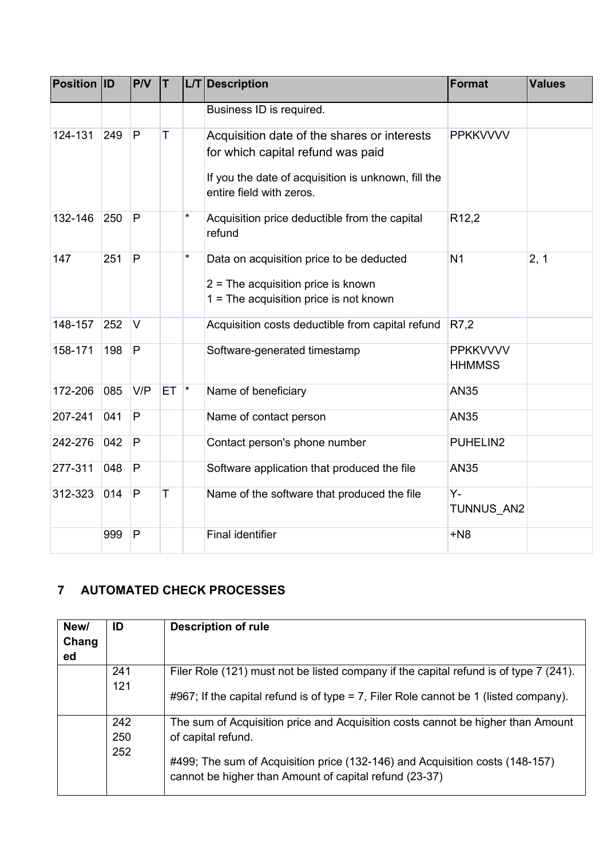| <b>Position ID</b> |     | <b>P/V</b>     | T   |               | L/T Description                                                                                                                                                     | <b>Format</b>                    | <b>Values</b> |
|--------------------|-----|----------------|-----|---------------|---------------------------------------------------------------------------------------------------------------------------------------------------------------------|----------------------------------|---------------|
|                    |     |                |     |               | Business ID is required.                                                                                                                                            |                                  |               |
| 124-131            | 249 | P              | T   |               | Acquisition date of the shares or interests<br>for which capital refund was paid<br>If you the date of acquisition is unknown, fill the<br>entire field with zeros. | <b>PPKKVVVV</b>                  |               |
| 132-146            | 250 | P              |     | $\star$       | Acquisition price deductible from the capital<br>refund                                                                                                             | R <sub>12,2</sub>                |               |
| 147                | 251 | $\overline{P}$ |     | $^\star$      | Data on acquisition price to be deducted<br>$2$ = The acquisition price is known<br>$1 =$ The acquisition price is not known                                        | N <sub>1</sub>                   | 2, 1          |
| 148-157            | 252 | V              |     |               | Acquisition costs deductible from capital refund                                                                                                                    | R7,2                             |               |
| 158-171            | 198 | P              |     |               | Software-generated timestamp                                                                                                                                        | <b>PPKKVVVV</b><br><b>HHMMSS</b> |               |
| 172-206            | 085 | V/P            | ET. | $\vert \star$ | Name of beneficiary                                                                                                                                                 | <b>AN35</b>                      |               |
| 207-241            | 041 | P              |     |               | Name of contact person                                                                                                                                              | <b>AN35</b>                      |               |
| 242-276            | 042 | P              |     |               | Contact person's phone number                                                                                                                                       | PUHELIN2                         |               |
| 277-311            | 048 | P              |     |               | Software application that produced the file                                                                                                                         | <b>AN35</b>                      |               |
| 312-323            | 014 | P              | T   |               | Name of the software that produced the file                                                                                                                         | Y-<br>TUNNUS AN2                 |               |
|                    | 999 | P              |     |               | <b>Final identifier</b>                                                                                                                                             | $+N8$                            |               |

## <span id="page-4-0"></span>**7 AUTOMATED CHECK PROCESSES**

| New/<br>Chang<br>ed | ID                | <b>Description of rule</b>                                                                                                                                                                                                                      |
|---------------------|-------------------|-------------------------------------------------------------------------------------------------------------------------------------------------------------------------------------------------------------------------------------------------|
|                     | 241<br>121        | Filer Role (121) must not be listed company if the capital refund is of type 7 (241).<br>#967; If the capital refund is of type = 7, Filer Role cannot be 1 (listed company).                                                                   |
|                     | 242<br>250<br>252 | The sum of Acquisition price and Acquisition costs cannot be higher than Amount<br>of capital refund.<br>#499; The sum of Acquisition price (132-146) and Acquisition costs (148-157)<br>cannot be higher than Amount of capital refund (23-37) |